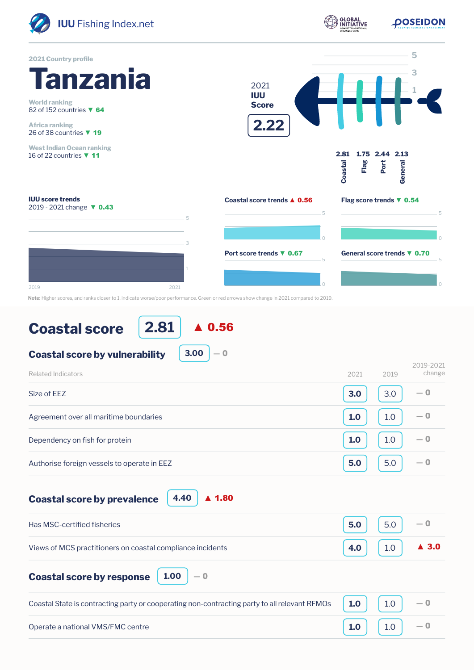

|  | <b>Coastal score</b> |
|--|----------------------|
|  |                      |

**2.81** ▲ 0.56

**3.00**

― 0

```
Coastal score by vulnerability
```

| Related Indicators                          | 2021 | 2019 | 2019-2021<br>change |
|---------------------------------------------|------|------|---------------------|
| Size of EEZ                                 | 3.0  | 3.0  | $-0$                |
| Agreement over all maritime boundaries      | 1.0  | 1.0  | $-0$                |
| Dependency on fish for protein              | 1.0  | 1.0  | $-0$                |
| Authorise foreign vessels to operate in EEZ | 5.0  | 5.0  | $-0$                |

**Coastal score by prevalence**

Operate a national VMS/FMC centre

**4.40** ▲ 1.80

| Has MSC-certified fisheries                                                                                 | $\begin{array}{ c c c c c c } \hline \textbf{5.0} & \textbf{5.0} & -\textbf{0} \end{array}$ |  |
|-------------------------------------------------------------------------------------------------------------|---------------------------------------------------------------------------------------------|--|
| Views of MCS practitioners on coastal compliance incidents                                                  | 4.0 $10 \mid 10 \mid$ 4 3.0                                                                 |  |
| <b>Coastal score by response</b> $\begin{bmatrix} 1.00 \\ -0 \end{bmatrix}$                                 |                                                                                             |  |
| Coastal State is contracting party or cooperating non-contracting party to all relevant RFMOs $\ $ 1.0 $\ $ | $\begin{array}{ c c c c c } \hline 1.0 & -0 \\ \hline \end{array}$                          |  |

**1.0**

1.0

― 0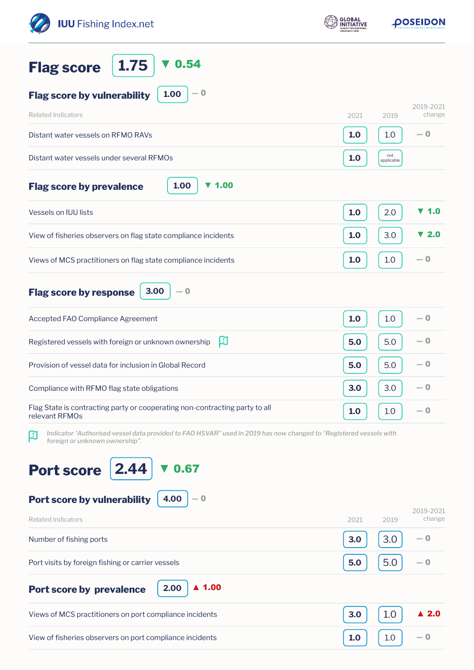| <b>IUU</b> Fishing Index.net                                                                                                                             | <b>GLOBAL</b> | <b>OOSEIDON</b>                 |  |
|----------------------------------------------------------------------------------------------------------------------------------------------------------|---------------|---------------------------------|--|
| 1.75<br>0.54<br><b>Flag score</b>                                                                                                                        |               |                                 |  |
| $-0$<br>1.00<br><b>Flag score by vulnerability</b>                                                                                                       |               |                                 |  |
| <b>Related Indicators</b>                                                                                                                                | 2021          | 2019-2021<br>change<br>2019     |  |
| Distant water vessels on RFMO RAVs                                                                                                                       | 1.0           | $-0$<br>1.0                     |  |
| Distant water vessels under several RFMOs                                                                                                                | 1.0           | not<br>applicable               |  |
| 1.00<br>$\blacktriangledown$ 1.00<br><b>Flag score by prevalence</b>                                                                                     |               |                                 |  |
| <b>Vessels on IUU lists</b>                                                                                                                              | 1.0           | $\blacktriangledown$ 1.0<br>2.0 |  |
| View of fisheries observers on flag state compliance incidents                                                                                           | 1.0           | 3.0<br>$\blacktriangledown$ 2.0 |  |
| Views of MCS practitioners on flag state compliance incidents                                                                                            | 1.0           | $-0$<br>1.0                     |  |
| 3.00<br>$-0$<br><b>Flag score by response</b>                                                                                                            |               |                                 |  |
| Accepted FAO Compliance Agreement                                                                                                                        | 1.0           | $-0$<br>1.0                     |  |
| 凹<br>Registered vessels with foreign or unknown ownership                                                                                                | 5.0           | 5.0<br>— 0                      |  |
| Provision of vessel data for inclusion in Global Record                                                                                                  | 5.0           | $-0$<br>5.0                     |  |
| Compliance with RFMO flag state obligations                                                                                                              | 3.0           | $-0$<br>3.0                     |  |
| Flag State is contracting party or cooperating non-contracting party to all<br>relevant RFMOs                                                            | 1.0           | — 0<br>1.0                      |  |
| Indicator 'Authorised vessel data provided to FAO HSVAR" used in 2019 has now changed to 'Registered vessels with<br>A<br>foreign or unknown ownership". |               |                                 |  |
| 0.67                                                                                                                                                     |               |                                 |  |
| <b>Port score</b><br>2.44                                                                                                                                |               |                                 |  |
| 4.00<br>Port score by vulnerability<br>— 0                                                                                                               |               | 2019-2021                       |  |
| <b>Related Indicators</b>                                                                                                                                | 2021          | change<br>2019                  |  |
| Number of fishing ports                                                                                                                                  | 3.0           | 3.0<br>— 0                      |  |
| Port visits by foreign fishing or carrier vessels                                                                                                        | 5.0           | 5.0<br>$-0$                     |  |
| $\blacktriangle$ 1.00<br>2.00<br>Port score by prevalence                                                                                                |               |                                 |  |
| Views of MCS practitioners on port compliance incidents                                                                                                  | 3.0           | 1.0<br>$\blacktriangle$ 2.0     |  |
| View of fisheries observers on port compliance incidents                                                                                                 | 1.0           | $-\mathbf{0}$<br>1.0            |  |